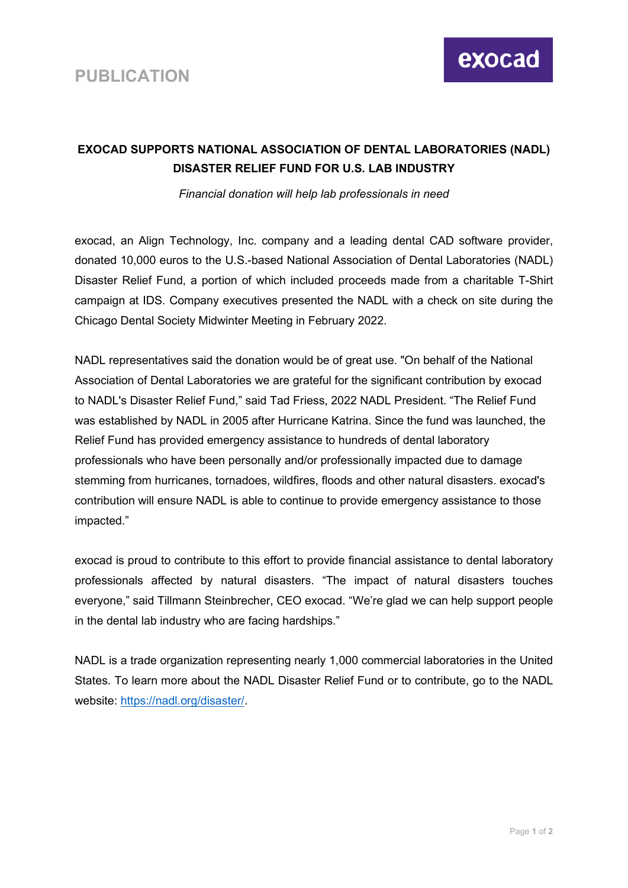

## **EXOCAD SUPPORTS NATIONAL ASSOCIATION OF DENTAL LABORATORIES (NADL) DISASTER RELIEF FUND FOR U.S. LAB INDUSTRY**

*Financial donation will help lab professionals in need* 

exocad, an Align Technology, Inc. company and a leading dental CAD software provider, donated 10,000 euros to the U.S.-based National Association of Dental Laboratories (NADL) Disaster Relief Fund, a portion of which included proceeds made from a charitable T-Shirt campaign at IDS. Company executives presented the NADL with a check on site during the Chicago Dental Society Midwinter Meeting in February 2022.

NADL representatives said the donation would be of great use. "On behalf of the National Association of Dental Laboratories we are grateful for the significant contribution by exocad to NADL's Disaster Relief Fund," said Tad Friess, 2022 NADL President. "The Relief Fund was established by NADL in 2005 after Hurricane Katrina. Since the fund was launched, the Relief Fund has provided emergency assistance to hundreds of dental laboratory professionals who have been personally and/or professionally impacted due to damage stemming from hurricanes, tornadoes, wildfires, floods and other natural disasters. exocad's contribution will ensure NADL is able to continue to provide emergency assistance to those impacted."

exocad is proud to contribute to this effort to provide financial assistance to dental laboratory professionals affected by natural disasters. "The impact of natural disasters touches everyone," said Tillmann Steinbrecher, CEO exocad. "We're glad we can help support people in the dental lab industry who are facing hardships."

NADL is a trade organization representing nearly 1,000 commercial laboratories in the United States. To learn more about the NADL Disaster Relief Fund or to contribute, go to the NADL website: [https://nadl.org/disaster/.](https://nadl.org/disaster/)